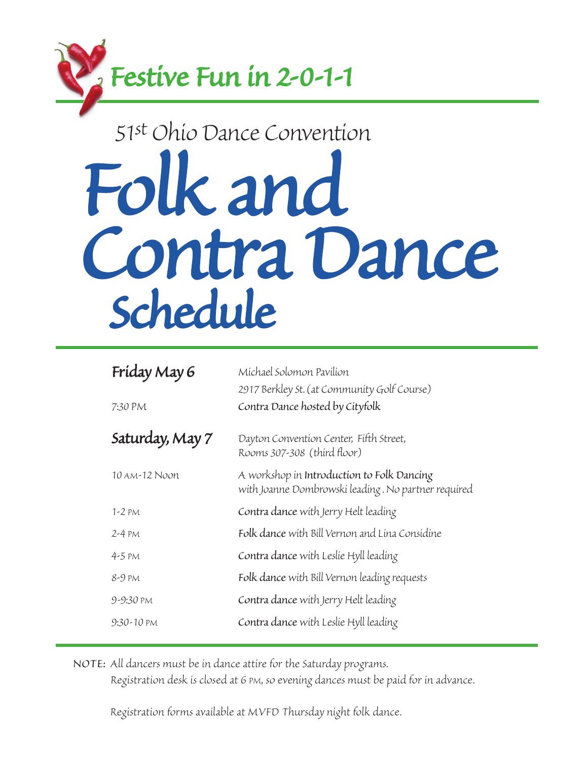

### *51st Ohio Dance Convention*

# *Folk and Contra Dance Schedule*

| Friday May 6    | Michael Solomon Pavilion                                                                          |
|-----------------|---------------------------------------------------------------------------------------------------|
|                 | 2917 Berkley St. (at Community Golf Course)                                                       |
| 7:30 PM         | Contra Dance hosted by Cityfolk                                                                   |
| Saturday, May 7 | Dayton Convention Center, Fifth Street,<br>Rooms 307-308 (third floor)                            |
| 10 AM-12 Noon   | A workshop in Introduction to Folk Dancing<br>with Joanne Dombrowski leading. No partner required |
| $1-2$ PM        | Contra dance with Jerry Helt leading                                                              |
| $2-4$ PM        | Folk dance with Bill Vernon and Lina Considine                                                    |
| $4-5$ PM        | Contra dance with Leslie Hyll leading                                                             |
| 8-9 pm          | Folk dance with Bill Vernon leading requests                                                      |
| 9-9:30 PM       | Contra dance with Jerry Helt leading                                                              |
| $9:30-10$ PM    | Contra dance with Leslie Hyll leading                                                             |

*NOTE: All dancers must be in dance attire for the Saturday programs.*

 *Registration desk is closed at 6 PM, so evening dances must be paid for in advance.*

 *Registration forms available at MVFD Thursday night folk dance.*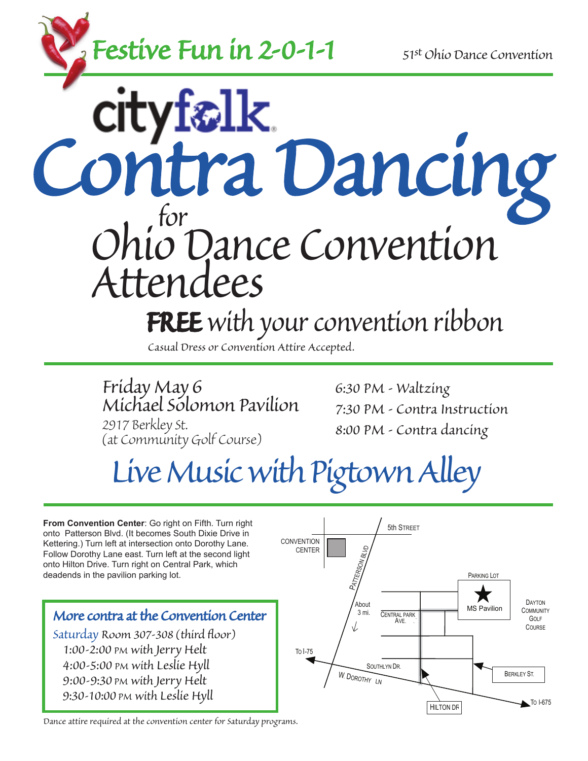

*Contra Dancing for Ohio Dance Convention Attendees FREE with your convention ribbon*

*Casual Dress or Convention Attire Accepted.*

*Friday May 6 Michael Solomon Pavilion 2917 Berkley St. (at Community Golf Course)*

*6:30 PM - Waltzing 7:30 PM - Contra Instruction 8:00 PM - Contra dancing*

# *Live Music with Pigtown Alley*

**From Convention Center**: Go right on Fifth. Turn right onto Patterson Blvd. (It becomes South Dixie Drive in Kettering.) Turn left at intersection onto Dorothy Lane. Follow Dorothy Lane east. Turn left at the second light onto Hilton Drive. Turn right on Central Park, which deadends in the pavilion parking lot.

#### *More contra at the Convention Center*

*Saturday Room 307-308 (third floor) 1:00-2:00 PM with Jerry Helt 4:00-5:00 PM with Leslie Hyll 9:00-9:30 PM with Jerry Helt 9:30-10:00 PM with Leslie Hyll*